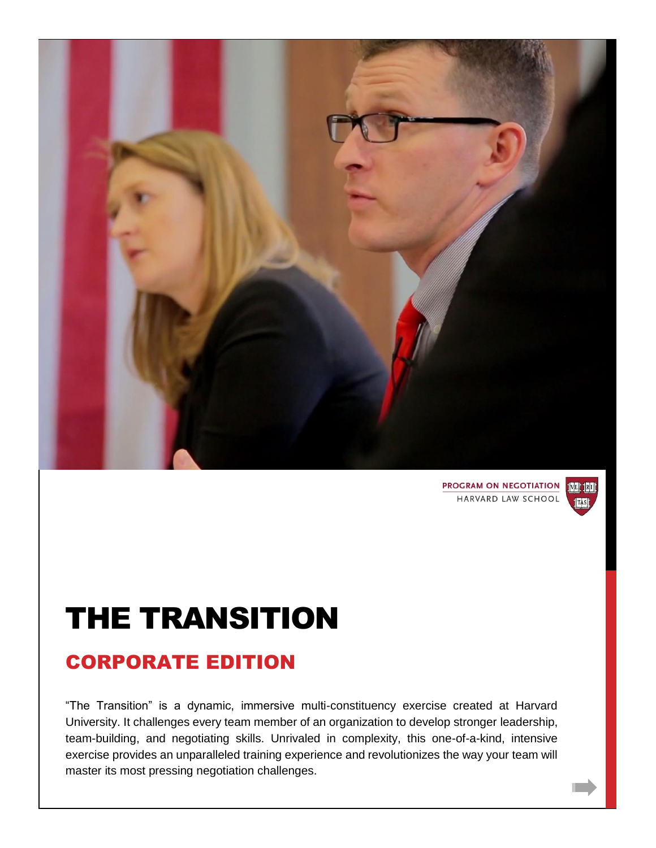

**PROGRAM ON NEGOTIATION IVE TELE** HARVARD LAW SCHOOL



## THE TRANSITION

### CORPORATE EDITION

"The Transition" is a dynamic, immersive multi-constituency exercise created at Harvard University. It challenges every team member of an organization to develop stronger leadership, team-building, and negotiating skills. Unrivaled in complexity, this one-of-a-kind, intensive exercise provides an unparalleled training experience and revolutionizes the way your team will master its most pressing negotiation challenges.